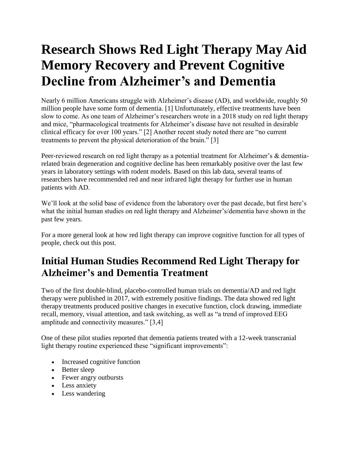# **Research Shows Red Light Therapy May Aid Memory Recovery and Prevent Cognitive Decline from Alzheimer's and Dementia**

Nearly 6 million Americans struggle with Alzheimer's disease (AD), and worldwide, roughly 50 million people have some form of dementia. [1] Unfortunately, effective treatments have been slow to come. As one team of Alzheimer's researchers wrote in a 2018 study on red light therapy and mice, "pharmacological treatments for Alzheimer's disease have not resulted in desirable clinical efficacy for over 100 years." [2] Another recent study noted there are "no current treatments to prevent the physical deterioration of the brain." [3]

Peer-reviewed research on red light therapy as a potential treatment for Alzheimer's & dementiarelated brain degeneration and cognitive decline has been remarkably positive over the last few years in laboratory settings with rodent models. Based on this lab data, several teams of researchers have recommended red and near infrared light therapy for further use in human patients with AD.

We'll look at the solid base of evidence from the laboratory over the past decade, but first here's what the initial human studies on red light therapy and Alzheimer's/dementia have shown in the past few years.

For a more general look at how red light therapy can improve cognitive function for all types of people, check out this post.

## **Initial Human Studies Recommend Red Light Therapy for Alzheimer's and Dementia Treatment**

Two of the first double-blind, placebo-controlled human trials on dementia/AD and red light therapy were published in 2017, with extremely positive findings. The data showed red light therapy treatments produced positive changes in executive function, clock drawing, immediate recall, memory, visual attention, and task switching, as well as "a trend of improved EEG amplitude and connectivity measures." [3,4]

One of these pilot studies reported that dementia patients treated with a 12-week transcranial light therapy routine experienced these "significant improvements":

- Increased cognitive function
- Better sleep
- Fewer angry outbursts
- Less anxiety
- Less wandering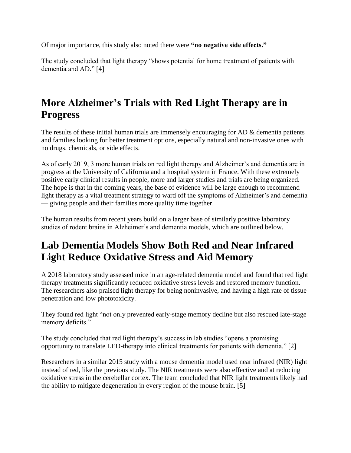Of major importance, this study also noted there were **"no negative side effects."**

The study concluded that light therapy "shows potential for home treatment of patients with dementia and AD." [4]

#### **More Alzheimer's Trials with Red Light Therapy are in Progress**

The results of these initial human trials are immensely encouraging for AD & dementia patients and families looking for better treatment options, especially natural and non-invasive ones with no drugs, chemicals, or side effects.

As of early 2019, 3 more human trials on red light therapy and Alzheimer's and dementia are in progress at the University of California and a hospital system in France. With these extremely positive early clinical results in people, more and larger studies and trials are being organized. The hope is that in the coming years, the base of evidence will be large enough to recommend light therapy as a vital treatment strategy to ward off the symptoms of Alzheimer's and dementia — giving people and their families more quality time together.

The human results from recent years build on a larger base of similarly positive laboratory studies of rodent brains in Alzheimer's and dementia models, which are outlined below.

### **Lab Dementia Models Show Both Red and Near Infrared Light Reduce Oxidative Stress and Aid Memory**

A 2018 laboratory study assessed mice in an age-related dementia model and found that red light therapy treatments significantly reduced oxidative stress levels and restored memory function. The researchers also praised light therapy for being noninvasive, and having a high rate of tissue penetration and low phototoxicity.

They found red light "not only prevented early-stage memory decline but also rescued late-stage memory deficits."

The study concluded that red light therapy's success in lab studies "opens a promising opportunity to translate LED-therapy into clinical treatments for patients with dementia." [2]

Researchers in a similar 2015 study with a mouse dementia model used near infrared (NIR) light instead of red, like the previous study. The NIR treatments were also effective and at reducing oxidative stress in the cerebellar cortex. The team concluded that NIR light treatments likely had the ability to mitigate degeneration in every region of the mouse brain. [5]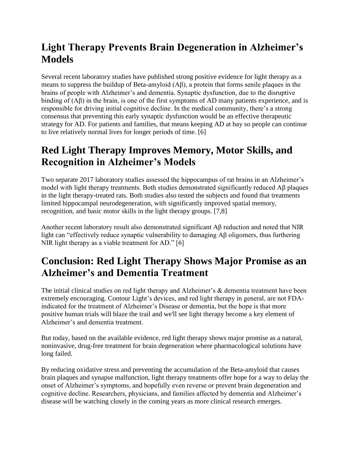### **Light Therapy Prevents Brain Degeneration in Alzheimer's Models**

Several recent laboratory studies have published strong positive evidence for light therapy as a means to suppress the buildup of Beta-amyloid (Aβ), a protein that forms senile plaques in the brains of people with Alzheimer's and dementia. Synaptic dysfunction, due to the disruptive binding of (Aβ) in the brain, is one of the first symptoms of AD many patients experience, and is responsible for driving initial cognitive decline. In the medical community, there's a strong consensus that preventing this early synaptic dysfunction would be an effective therapeutic strategy for AD. For patients and families, that means keeping AD at bay so people can continue to live relatively normal lives for longer periods of time. [6]

#### **Red Light Therapy Improves Memory, Motor Skills, and Recognition in Alzheimer's Models**

Two separate 2017 laboratory studies assessed the hippocampus of rat brains in an Alzheimer's model with light therapy treatments. Both studies demonstrated significantly reduced Aβ plaques in the light therapy-treated rats. Both studies also tested the subjects and found that treatments limited hippocampal neurodegeneration, with significantly improved spatial memory, recognition, and basic motor skills in the light therapy groups. [7,8]

Another recent laboratory result also demonstrated significant Aβ reduction and noted that NIR light can "effectively reduce synaptic vulnerability to damaging Aβ oligomers, thus furthering NIR light therapy as a viable treatment for AD." [6]

### **Conclusion: Red Light Therapy Shows Major Promise as an Alzheimer's and Dementia Treatment**

The initial clinical studies on red light therapy and Alzheimer's & dementia treatment have been extremely encouraging. Contour Light's devices, and red light therapy in general, are not FDAindicated for the treatment of Alzheimer's Disease or dementia, but the hope is that more positive human trials will blaze the trail and we'll see light therapy become a key element of Alzheimer's and dementia treatment.

But today, based on the available evidence, red light therapy shows major promise as a natural, noninvasive, drug-free treatment for brain degeneration where pharmacological solutions have long failed.

By reducing oxidative stress and preventing the accumulation of the Beta-amyloid that causes brain plaques and synapse malfunction, light therapy treatments offer hope for a way to delay the onset of Alzheimer's symptoms, and hopefully even reverse or prevent brain degeneration and cognitive decline. Researchers, physicians, and families affected by dementia and Alzheimer's disease will be watching closely in the coming years as more clinical research emerges.